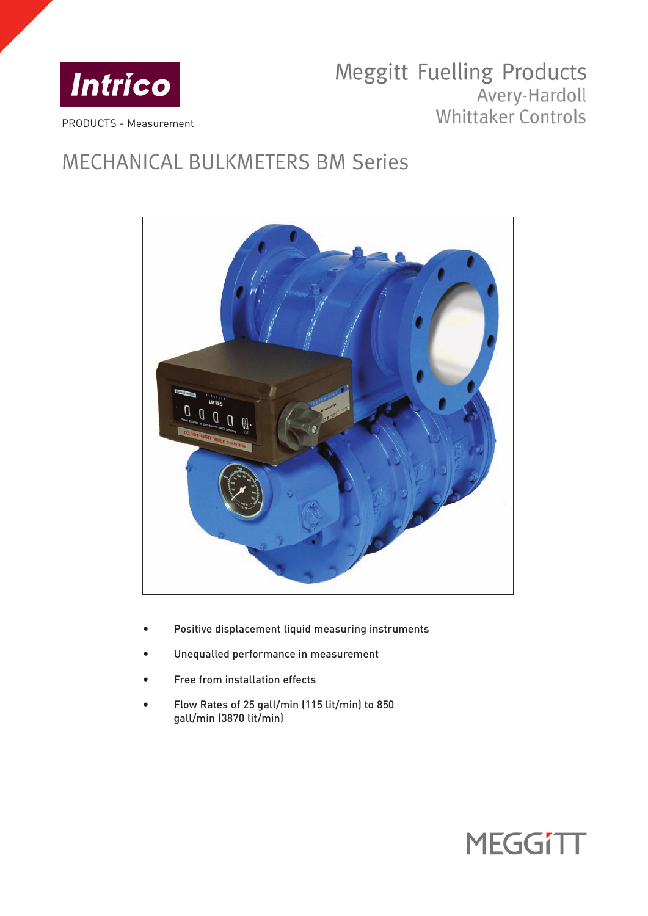

# Meggitt Fuelling Products Avery-Hardoll Whittaker Controls

# MECHANICAL BULKMETERS BM Series



- Positive displacement liquid measuring instruments
- Unequalled performance in measurement
- Free from installation effects
- Flow Rates of 25 gall/min (115 lit/min) to 850 gall/min (3870 lit/min)

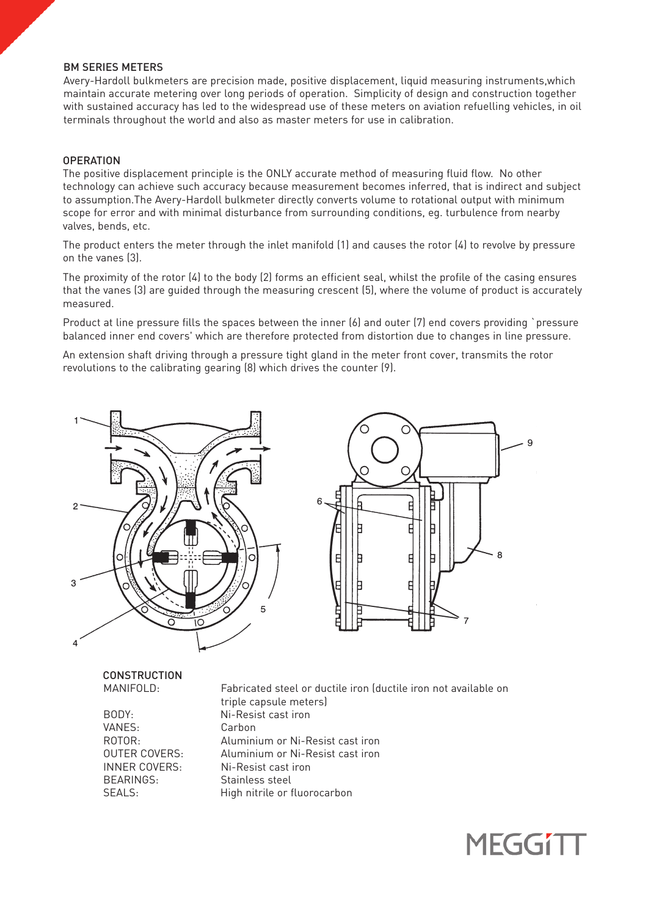# BM SERIES METERS

Avery-Hardoll bulkmeters are precision made, positive displacement, liquid measuring instruments,which maintain accurate metering over long periods of operation. Simplicity of design and construction together with sustained accuracy has led to the widespread use of these meters on aviation refuelling vehicles, in oil terminals throughout the world and also as master meters for use in calibration.

# **OPERATION**

The positive displacement principle is the ONLY accurate method of measuring fluid flow. No other technology can achieve such accuracy because measurement becomes inferred, that is indirect and subject to assumption.The Avery-Hardoll bulkmeter directly converts volume to rotational output with minimum scope for error and with minimal disturbance from surrounding conditions, eg. turbulence from nearby valves, bends, etc.

The product enters the meter through the inlet manifold (1) and causes the rotor (4) to revolve by pressure on the vanes (3).

The proximity of the rotor (4) to the body (2) forms an efficient seal, whilst the profile of the casing ensures that the vanes (3) are guided through the measuring crescent (5), where the volume of product is accurately measured.

Product at line pressure fills the spaces between the inner (6) and outer (7) end covers providing `pressure balanced inner end covers' which are therefore protected from distortion due to changes in line pressure.

An extension shaft driving through a pressure tight gland in the meter front cover, transmits the rotor revolutions to the calibrating gearing (8) which drives the counter (9).





**CONSTRUCTION** 

VANES: Carbon BEARINGS: Stainless steel<br>SEALS: High nitrile or f

MANIFOLD: Fabricated steel or ductile iron (ductile iron not available on triple capsule meters) BODY: Ni-Resist cast iron ROTOR: Aluminium or Ni-Resist cast iron OUTER COVERS: Aluminium or Ni-Resist cast iron INNER COVERS: Ni-Resist cast iron High nitrile or fluorocarbon

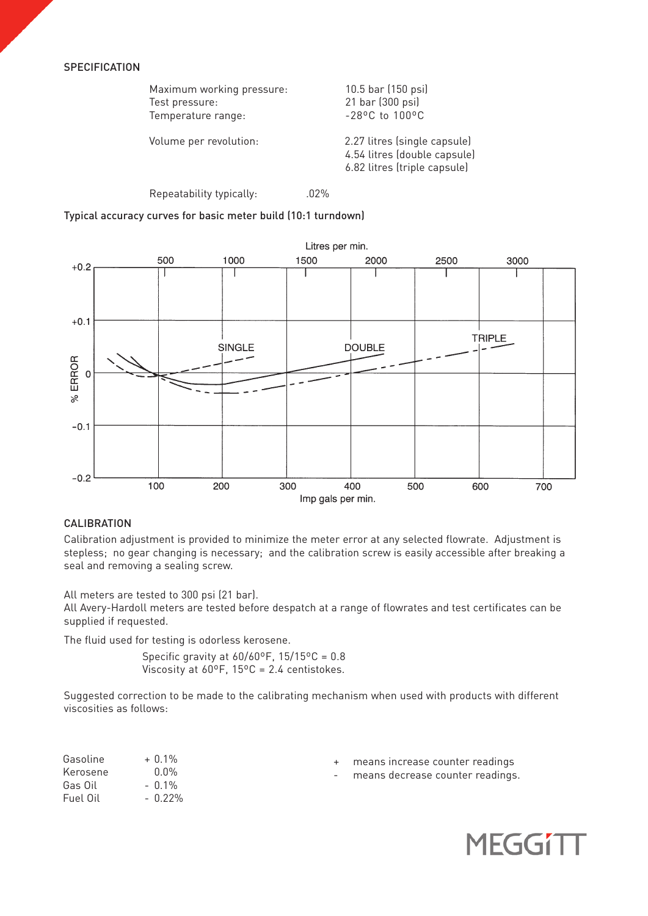# **SPECIFICATION**

| Maximum working pressure: | 10.5 bar (150 psi)                                                                           |
|---------------------------|----------------------------------------------------------------------------------------------|
| Test pressure:            | 21 bar (300 psi)                                                                             |
| Temperature range:        | $-28$ °C to 100°C                                                                            |
| Volume per revolution:    | 2.27 litres (single capsule)<br>4.54 litres (double capsule)<br>6.82 litres (triple capsule) |

Repeatability typically: 02%

Typical accuracy curves for basic meter build (10:1 turndown)



# **CALIBRATION**

Calibration adjustment is provided to minimize the meter error at any selected flowrate. Adjustment is stepless; no gear changing is necessary; and the calibration screw is easily accessible after breaking a seal and removing a sealing screw.

All meters are tested to 300 psi (21 bar).

All Avery-Hardoll meters are tested before despatch at a range of flowrates and test certificates can be supplied if requested.

The fluid used for testing is odorless kerosene.

Specific gravity at  $60/60^{\circ}$ F,  $15/15^{\circ}$ C = 0.8 Viscosity at 60ºF, 15ºC = 2.4 centistokes.

Suggested correction to be made to the calibrating mechanism when used with products with different viscosities as follows:

| Gasoline | $+ 0.1\%$ | + means increase counter readings  |
|----------|-----------|------------------------------------|
| Kerosene | $0.0\%$   | - means decrease counter readings. |
| Gas Oil  | – በ 1%    |                                    |
| Fuel Oil | $-0.22\%$ |                                    |

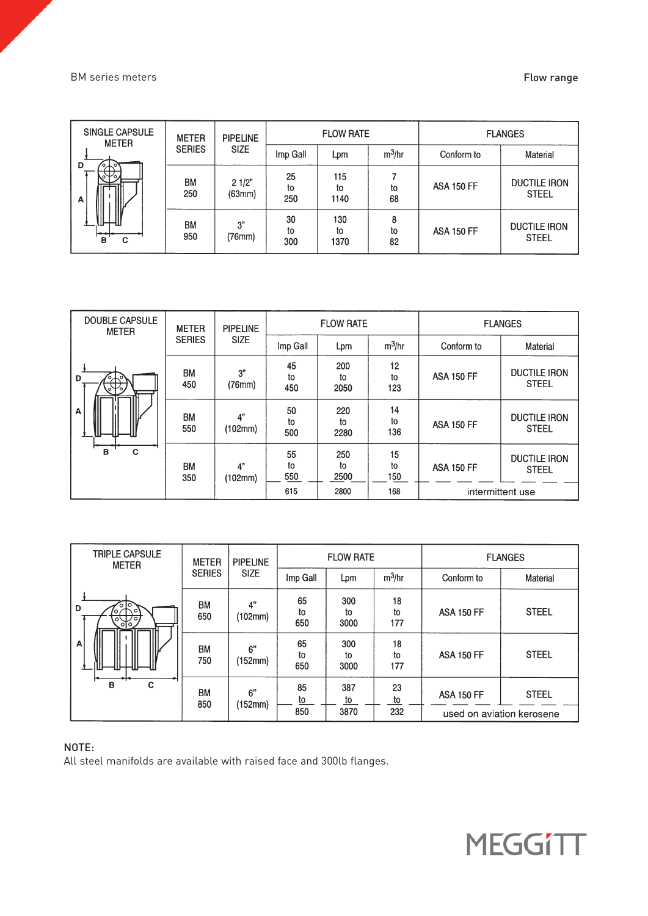# BM series meters **Flow range**

| SINGLE CAPSULE<br><b>METER</b> | <b>METER</b>     | <b>PIPELINE</b> |                 | <b>FLOW RATE</b>  |               | <b>FLANGES</b>    |                                     |  |
|--------------------------------|------------------|-----------------|-----------------|-------------------|---------------|-------------------|-------------------------------------|--|
| D<br>$\circ$                   | <b>SERIES</b>    | <b>SIZE</b>     | Imp Gall        | Lpm               | $m^3/hr$      | Conform to        | Material                            |  |
| ₩.<br>1<br>1<br>A              | <b>BM</b><br>250 | 21/2"<br>(63mm) | 25<br>to<br>250 | 115<br>to<br>1140 | to<br>68      | <b>ASA 150 FF</b> | <b>DUCTILE IRON</b><br><b>STEEL</b> |  |
| B<br>С                         | <b>BM</b><br>950 | 3"<br>(76mm)    | 30<br>to<br>300 | 130<br>to<br>1370 | 8<br>to<br>82 | <b>ASA 150 FF</b> | <b>DUCTILE IRON</b><br><b>STEEL</b> |  |

| <b>DOUBLE CAPSULE</b><br><b>METER</b> | <b>METER</b>     | <b>PIPELINE</b> |                 | <b>FLOW RATE</b>  |                 | <b>FLANGES</b>         |                                     |  |
|---------------------------------------|------------------|-----------------|-----------------|-------------------|-----------------|------------------------|-------------------------------------|--|
|                                       | <b>SERIES</b>    | <b>SIZE</b>     | Imp Gall        | $m^3$ /hr<br>Lрm  |                 | Conform to<br>Material |                                     |  |
| D<br>$\sim$<br>ुफ                     | <b>BM</b><br>450 | 3"<br>(76mm)    | 45<br>to<br>450 | 200<br>to<br>2050 | 12<br>to<br>123 | <b>ASA 150 FF</b>      | <b>DUCTILE IRON</b><br><b>STEEL</b> |  |
| ⊮<br>A                                | <b>BM</b><br>550 | 4"<br>(102mm)   | 50<br>to<br>500 | 220<br>to<br>2280 | 14<br>to<br>136 | <b>ASA 150 FF</b>      | <b>DUCTILE IRON</b><br><b>STEEL</b> |  |
| B<br>C                                | <b>BM</b><br>350 | 4"<br>(102mm)   | 55<br>to<br>550 | 250<br>to<br>2500 | 15<br>to<br>150 | <b>ASA 150 FF</b>      | <b>DUCTILE IRON</b><br><b>STEEL</b> |  |
|                                       |                  |                 | 615             | 2800              | 168             |                        | intermittent use                    |  |

| TRIPLE CAPSULE<br><b>METER</b> | <b>METER</b>     | <b>PIPELINE</b> |                 | <b>FLOW RATE</b>  |                 | <b>FLANGES</b>    |                                           |  |
|--------------------------------|------------------|-----------------|-----------------|-------------------|-----------------|-------------------|-------------------------------------------|--|
|                                | <b>SERIES</b>    | <b>SIZE</b>     | Imp Gall        | Lрm               | $m^3$ /hr       | Conform to        | Material                                  |  |
| 6 Io<br>D<br>ο.<br>एप्नग       | BM<br>650        | 4"<br>(102mm)   | 65<br>to<br>650 | 300<br>to<br>3000 | 18<br>to<br>177 | <b>ASA 150 FF</b> | <b>STEEL</b>                              |  |
| Α                              | BM<br>750        | 6"<br>(152mm)   | 65<br>to<br>650 | 300<br>to<br>3000 | 18<br>to<br>177 | <b>ASA 150 FF</b> | <b>STEEL</b>                              |  |
| C<br>B                         | <b>BM</b><br>850 | 6"<br>(152mm)   | 85<br>to<br>850 | 387<br>to<br>3870 | 23<br>to<br>232 | <b>ASA 150 FF</b> | <b>STEEL</b><br>used on aviation kerosene |  |

# NOTE:

All steel manifolds are available with raised face and 300lb flanges.

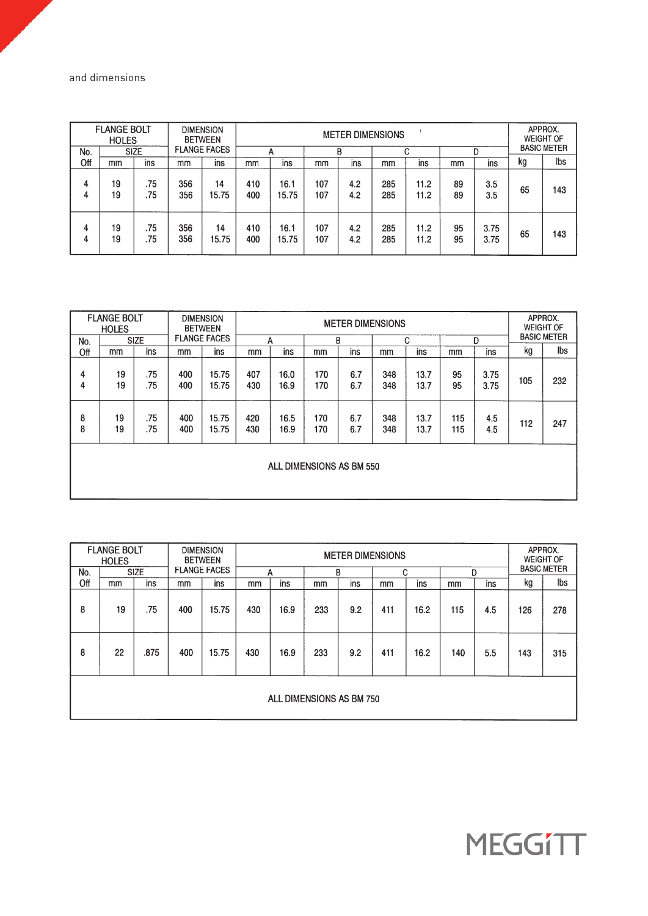and dimensions

|        | <b>FLANGE BOLT</b><br><b>HOLES</b> |             |            | <b>DIMENSION</b><br><b>BETWEEN</b> | <b>METER DIMENSIONS</b> |               |            |            |            |              | APPROX.<br><b>WEIGHT OF</b><br><b>BASIC METER</b> |              |    |     |
|--------|------------------------------------|-------------|------------|------------------------------------|-------------------------|---------------|------------|------------|------------|--------------|---------------------------------------------------|--------------|----|-----|
| No.    |                                    | <b>SIZE</b> |            | <b>FLANGE FACES</b>                |                         | А             |            | B          |            | С            |                                                   |              |    |     |
| Off    | mm                                 | ins         | mm         | ins                                | mm                      | ins           | mm         | ins        | mm         | ins          | mm                                                | ins          | kg | Ibs |
| 4<br>4 | 19<br>19                           | .75<br>.75  | 356<br>356 | 14<br>15.75                        | 410<br>400              | 16.1<br>15.75 | 107<br>107 | 4.2<br>4.2 | 285<br>285 | 11.2<br>11.2 | 89<br>89                                          | 3.5<br>3.5   | 65 | 143 |
| 4<br>4 | 19<br>19                           | .75<br>.75  | 356<br>356 | 14<br>15.75                        | 410<br>400              | 16.1<br>15.75 | 107<br>107 | 4.2<br>4.2 | 285<br>285 | 11.2<br>11.2 | 95<br>95                                          | 3.75<br>3.75 | 65 | 143 |

|        | <b>FLANGE BOLT</b><br><b>HOLES</b> |             |            | <b>DIMENSION</b><br><b>BETWEEN</b> | <b>METER DIMENSIONS</b> |                          |            |            |            |              |            |              | APPROX.<br><b>WEIGHT OF</b> |     |
|--------|------------------------------------|-------------|------------|------------------------------------|-------------------------|--------------------------|------------|------------|------------|--------------|------------|--------------|-----------------------------|-----|
| No.    |                                    | <b>SIZE</b> |            | <b>FLANGE FACES</b>                |                         | А                        |            | B          |            | C            | D          |              | <b>BASIC METER</b>          |     |
| Off    | mm                                 | ins         | mm         | ins                                | mm                      | ins                      | mm         | ins        | mm         | ins          | mm         | ins          | kg                          | Ibs |
| 4<br>4 | 19<br>19                           | .75<br>.75  | 400<br>400 | 15.75<br>15.75                     | 407<br>430              | 16.0<br>16.9             | 170<br>170 | 6.7<br>6.7 | 348<br>348 | 13.7<br>13.7 | 95<br>95   | 3.75<br>3.75 | 105                         | 232 |
| 8<br>8 | 19<br>19                           | .75<br>.75  | 400<br>400 | 15.75<br>15.75                     | 420<br>430              | 16.5<br>16.9             | 170<br>170 | 6.7<br>6.7 | 348<br>348 | 13.7<br>13.7 | 115<br>115 | 4.5<br>4.5   | 112                         | 247 |
|        |                                    |             |            |                                    |                         | ALL DIMENSIONS AS BM 550 |            |            |            |              |            |              |                             |     |

|     | <b>FLANGE BOLT</b><br><b>HOLES</b> |             |     | <b>DIMENSION</b><br><b>BETWEEN</b> | <b>METER DIMENSIONS</b> |      |     |     |     |      |     |     | APPROX.<br><b>WEIGHT OF</b> |                    |  |
|-----|------------------------------------|-------------|-----|------------------------------------|-------------------------|------|-----|-----|-----|------|-----|-----|-----------------------------|--------------------|--|
| No. |                                    | <b>SIZE</b> |     | <b>FLANGE FACES</b>                |                         | А    |     | B   | C   |      |     | D   |                             | <b>BASIC METER</b> |  |
| Off | mm                                 | ins         | mm  | ins                                | mm                      | ins  | mm  | ins | mm  | ins  | mm  | ins | kg                          | lbs                |  |
| 8   | 19                                 | .75         | 400 | 15.75                              | 430                     | 16.9 | 233 | 9.2 | 411 | 16.2 | 115 | 4.5 | 126                         | 278                |  |
| 8   | 22                                 | .875        | 400 | 15.75                              | 430                     | 16.9 | 233 | 9.2 | 411 | 16.2 | 140 | 5.5 | 143                         | 315                |  |
|     | ALL DIMENSIONS AS BM 750           |             |     |                                    |                         |      |     |     |     |      |     |     |                             |                    |  |

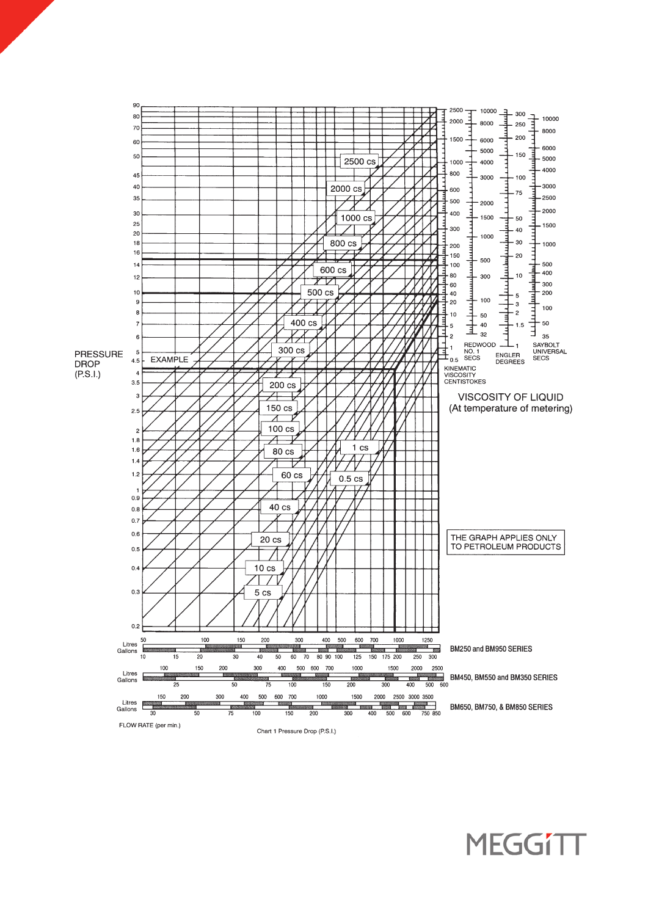

**MEGGITT**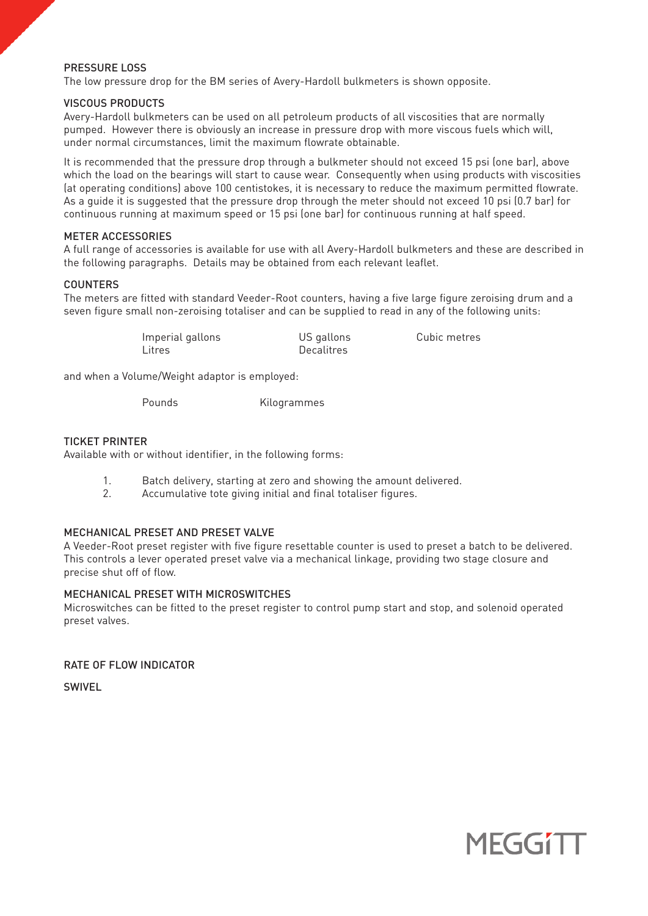# PRESSURE LOSS

The low pressure drop for the BM series of Avery-Hardoll bulkmeters is shown opposite.

#### VISCOUS PRODUCTS

Avery-Hardoll bulkmeters can be used on all petroleum products of all viscosities that are normally pumped. However there is obviously an increase in pressure drop with more viscous fuels which will, under normal circumstances, limit the maximum flowrate obtainable.

It is recommended that the pressure drop through a bulkmeter should not exceed 15 psi (one bar), above which the load on the bearings will start to cause wear. Consequently when using products with viscosities (at operating conditions) above 100 centistokes, it is necessary to reduce the maximum permitted flowrate. As a guide it is suggested that the pressure drop through the meter should not exceed 10 psi (0.7 bar) for continuous running at maximum speed or 15 psi (one bar) for continuous running at half speed.

# METER ACCESSORIES

A full range of accessories is available for use with all Avery-Hardoll bulkmeters and these are described in the following paragraphs. Details may be obtained from each relevant leaflet.

# COUNTERS

The meters are fitted with standard Veeder-Root counters, having a five large figure zeroising drum and a seven figure small non-zeroising totaliser and can be supplied to read in any of the following units:

| Imperial gallons | US gallons        | Cubic metres |
|------------------|-------------------|--------------|
| Litres           | <b>Decalitres</b> |              |

and when a Volume/Weight adaptor is employed:

Pounds Kilogrammes

# TICKET PRINTER

Available with or without identifier, in the following forms:

- 1. Batch delivery, starting at zero and showing the amount delivered.<br>2. Accumulative tote giving initial and final totaliser figures.
- Accumulative tote giving initial and final totaliser figures.

# MECHANICAL PRESET AND PRESET VALVE

A Veeder-Root preset register with five figure resettable counter is used to preset a batch to be delivered. This controls a lever operated preset valve via a mechanical linkage, providing two stage closure and precise shut off of flow.

# MECHANICAL PRESET WITH MICROSWITCHES

Microswitches can be fitted to the preset register to control pump start and stop, and solenoid operated preset valves.

RATE OF FLOW INDICATOR

SWIVEL